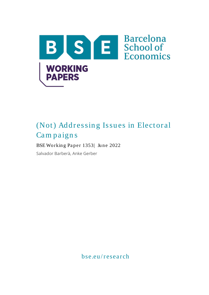

# (Not) Addressing Issues in Electoral Cam paign s

# BSE Working Paper 1353| June 2022

Salvador Barberà, Anke Gerber

bse.eu / research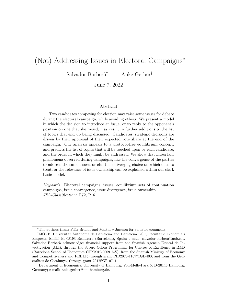# (Not) Addressing Issues in Electoral Campaigns<sup>∗</sup>

Salvador Barberà<sup>†</sup> Anke Gerber<sup>‡</sup>

June 7, 2022

#### Abstract

Two candidates competing for election may raise some issues for debate during the electoral campaign, while avoiding others. We present a model in which the decision to introduce an issue, or to reply to the opponent's position on one that she raised, may result in further additions to the list of topics that end up being discussed. Candidates' strategic decisions are driven by their appraisal of their expected vote share at the end of the campaign. Our analysis appeals to a protocol-free equilibrium concept, and predicts the list of topics that will be touched upon by each candidate, and the order in which they might be addressed. We show that important phenomena observed during campaigns, like the convergence of the parties to address the same issues, or else their diverging choice on which ones to treat, or the relevance of issue ownership can be explained within our stark basic model.

Keywords: Electoral campaigns, issues, equilibrium sets of continuation campaigns, issue convergence, issue divergence, issue ownership. JEL-Classification: D72, P16.

<sup>∗</sup>The authors thank Felix Brandt and Matthew Jackson for valuable comments.

<sup>&</sup>lt;sup>†</sup>MOVE, Universitat Autònoma de Barcelona and Barcelona GSE, Facultat d'Economia i Empresa, Edifici B, 08193 Bellaterra (Barcelona), Spain; e-mail: salvador.barbera@uab.cat. Salvador Barber`a acknowledges financial support from the Spanish Agencia Estatal de Investigación (AEI), through the Severo Ochoa Programme for Centres of Excellence in R&D (Barcelona School of Economics CEX2019-000915-S), from the Spanish Ministry of Economy and Competitiveness and FEDER through grant PID2020-116771GB-I00, and from the Generalitat de Catalunya, through grant 2017SGR-0711.

<sup>‡</sup>Department of Economics, University of Hamburg, Von-Melle-Park 5, D-20146 Hamburg, Germany; e-mail: anke.gerber@uni-hamburg.de.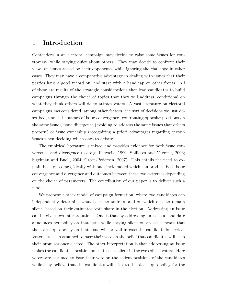## 1 Introduction

Contenders in an electoral campaign may decide to raise some issues for controversy, while staying quiet about others. They may decide to confront their views on issues raised by their opponents, while ignoring the challenge in other cases. They may have a comparative advantage in dealing with issues that their parties have a good record on, and start with a handicap on other fronts. All of these are results of the strategic considerations that lead candidates to build campaigns through the choice of topics that they will address, conditional on what they think others will do to attract voters. A vast literature on electoral campaigns has considered, among other factors, the sort of decisions we just described, under the names of issue convergence (confronting opposite positions on the same issue), issue divergence (avoiding to address the same issues that others propose) or issue ownership (recognizing a priori advantages regarding certain issues when deciding which ones to debate).

The empirical literature is mixed and provides evidence for both issue convergence and divergence (see e.g. Petrocik, 1996; Spiliotes and Vavreck, 2003; Sigelman and Buell, 2004; Green-Pedersen, 2007). This entails the need to explain both outcomes, ideally with one single model which can produce both issue convergence and divergence and outcomes between these two extremes depending on the choice of parameters. The contribution of our paper is to deliver such a model.

We propose a stark model of campaign formation, where two candidates can independently determine what issues to address, and on which ones to remain silent, based on their estimated vote share in the election. Addressing an issue can be given two interpretations. One is that by addressing an issue a candidate announces her policy on that issue while staying silent on an issue means that the status quo policy on that issue will prevail in case the candidate is elected. Voters are then assumed to base their vote on the belief that candidates will keep their promises once elected. The other interpretation is that addressing an issue makes the candidate's position on that issue salient in the eyes of the voters. Here voters are assumed to base their vote on the salient positions of the candidates while they believe that the candidates will stick to the status quo policy for the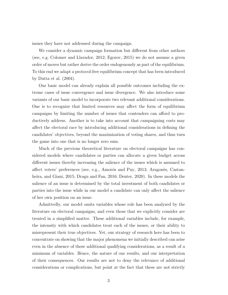issues they have not addressed during the campaign.

We consider a dynamic campaign formation but different from other authors (see, e.g. Colomer and Llavador, 2012; Egorov, 2015) we do not assume a given order of moves but rather derive the order endogenously as part of the equilibrium. To this end we adapt a protocol-free equilibrium concept that has been introduced by Dutta et al. (2004).

Our basic model can already explain all possible outcomes including the extreme cases of issue convergence and issue divergence. We also introduce some variants of our basic model to incorporate two relevant additional considerations. One is to recognize that limited resources may affect the form of equilibrium campaigns by limiting the number of issues that contenders can afford to productively address. Another is to take into account that campaigning costs may affect the electoral race by introducing additional considerations in defining the candidates' objectives, beyond the maximization of voting shares, and thus turn the game into one that is no longer zero sum.

Much of the previous theoretical literature on electoral campaigns has considered models where candidates or parties can allocate a given budget across different issues thereby increasing the salience of the issues which is assumed to affect voters' preferences (see, e.g., Amorós and Puy, 2013; Aragonès, Castanheira, and Giani, 2015; Dragu and Fan, 2016; Denter, 2020). In these models the salience of an issue is determined by the total investment of both candidates or parties into the issue while in our model a candidate can only affect the salience of her own position on an issue.

Admittedly, our model omits variables whose role has been analyzed by the literature on electoral campaigns, and even those that we explicitly consider are treated in a simplified matter. These additional variables include, for example, the intensity with which candidates treat each of the issues, or their ability to misrepresent their true objectives. Yet, our strategy of research here has been to concentrate on showing that the major phenomena we initially described can arise even in the absence of these additional qualifying considerations, as a result of a minimum of variables. Hence, the nature of our results, and our interpretation of their consequences. Our results are not to deny the relevance of additional considerations or complications, but point at the fact that these are not strictly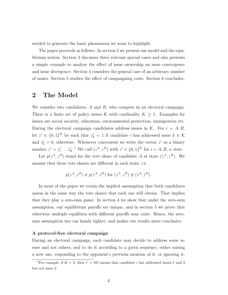needed to generate the basic phenomena we want to highlight.

The paper proceeds as follows. In section 2 we present our model and the equilibrium notion. Section 3 discusses three relevant special cases and also presents a simple example to analyze the effect of issue ownership on issue convergence and issue divergence. Section 4 considers the general case of an arbitrary number of issues. Section 5 studies the effect of campaigning costs. Section 6 concludes.

## 2 The Model

We consider two candidates,  $A$  and  $B$ , who compete in an electoral campaign. There is a finite set of policy issues K with cardinality  $K \geq 1$ . Examples for issues are social security, education, environmental protection, immigration etc. During the electoral campaign candidates address issues in  $K$ . For  $i = A, B$ , let  $z^i \in \{0,1\}^K$  be such that  $z^i_k = 1$  if candidate i has addressed issue  $k \in \mathcal{K}$ and  $z_k^i = 0$ , otherwise. Whenever convenient we write the vector  $z^i$  as a binary number  $z^i = z_1^i \dots z_K^i$ .<sup>1</sup> We call  $(z^A, z^B)$  with  $z^i \in \{0, 1\}^K$  for  $i = A, B$ , a state.

Let  $p(z^A, z^B)$  stand for the vote share of candidate A at state  $(z^A, z^B)$ . We assume that these vote shares are different in each state, i.e.

$$
p(z^A, z^B) \neq p(\hat{z}^A, \hat{z}^B)
$$
 for  $(z^A, z^B) \neq (\hat{z}^A, \hat{z}^B)$ .

In most of the paper we retain the implicit assumption that both candidates assess in the same way the vote shares that each one will obtain. That implies that they play a zero-sum game. In section 4 we show that under the zero-sum assumption, our equilibrium payoffs are unique, and in section 5 we prove that otherwise multiple equilibria with different payoffs may exist. Hence, the zerosum assumption ties our hands tighter, and makes our results more conclusive.

#### A protocol-free electoral campaign

During an electoral campaign, each candidate may decide to address some issues and not others, and to do it according to a given sequence, either raising a new one, responding to the opponent's previous mention of it, or ignoring it.

<sup>&</sup>lt;sup>1</sup>For example, if  $K = 3$ , then  $z<sup>i</sup> = 101$  means that candidate *i* has addressed issues 1 and 3 but not issue 2.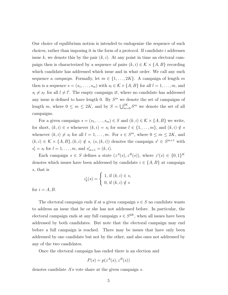Our choice of equilibrium notion is intended to endogenize the sequence of such choices, rather than imposing it in the form of a protocol. If candidate  $i$  addresses issue k, we denote this by the pair  $(k, i)$ . At any point in time an electoral campaign then is characterized by a sequence of pairs  $(k, i) \in \mathcal{K} \times \{A, B\}$  recording which candidate has addressed which issue and in what order. We call any such sequence a *campaign*. Formally, let  $m \in \{1, ..., 2K\}$ . A campaign of length m then is a sequence  $s = (s_1, \ldots, s_m)$  with  $s_l \in \mathcal{K} \times \{A, B\}$  for all  $l = 1, \ldots, m$ , and  $s_l \neq s_{l'}$  for all  $l \neq l'$ . The empty campaign  $\emptyset$ , where no candidate has addressed any issue is defined to have length 0. By  $S<sup>m</sup>$  we denote the set of campaigns of length m, where  $0 \leq m \leq 2K$ , and by  $S = \bigcup_{m=0}^{2K} S^m$  we denote the set of all campaigns.

For a given campaign  $s = (s_1, \ldots, s_m) \in S$  and  $(k, i) \in K \times \{A, B\}$  we write, for short,  $(k, i) \in s$  whenever  $(k, i) = s_i$  for some  $l \in \{1, \ldots, m\}$ , and  $(k, i) \notin s$ whenever  $(k, i) \neq s_i$  for all  $l = 1, ..., m$ . For  $s \in S^m$ , where  $0 \leq m \leq 2K$ , and  $(k, i) \in K \times \{A, B\}, (k, i) \notin s, (s, (k, i))$  denotes the campaign  $s' \in S^{m+1}$  with  $s'_{l} = s_{l}$  for  $l = 1, ..., m$ , and  $s'_{m+1} = (k, i)$ .

Each campaign  $s \in S$  defines a state  $(z^A(s), z^B(s))$ , where  $z^i(s) \in \{0,1\}^K$ denotes which issues have been addressed by candidate  $i \in \{A, B\}$  at campaign s, that is

$$
z_k^i(s) = \begin{cases} 1, \text{ if } (k,i) \in s, \\ 0, \text{ if } (k,i) \notin s \end{cases}
$$

for  $i = A, B$ .

The electoral campaign ends if at a given campaign  $s \in S$  no candidate wants to address an issue that he or she has not addressed before. In particular, the electoral campaign ends at any full campaign  $s \in S^{2K}$ , when all issues have been addressed by both candidates. But note that the electoral campaign may end before a full campaign is reached. There may be issues that have only been addressed by one candidate but not by the other, and also ones not addressed by any of the two candidates.

Once the electoral campaign has ended there is an election and

$$
P(s) = p(z^A(s), z^B(s))
$$

denotes candidate A's vote share at the given campaign s.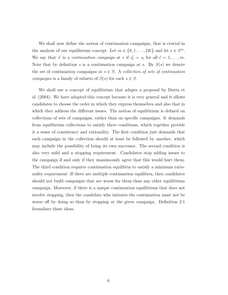We shall now define the notion of continuation campaigns, that is crucial in the analysis of our equilibrium concept. Let  $m \in \{0, 1, ..., 2K\}$  and let  $s \in S^m$ . We say that s' is a *continuation campaign* at s if  $s'_l = s_l$  for all  $l = 1, ..., m$ . Note that by definition s is a continuation campaign at s. By  $S(s)$  we denote the set of continuation campaigns at  $s \in S$ . A *collection of sets of continuation* campaigns is a family of subsets of  $S(s)$  for each  $s \in S$ .

We shall use a concept of equilibrium that adapts a proposal by Dutta et al. (2004). We have adopted this concept because it is very general and it allows candidates to choose the order in which they express themselves and also that in which they address the different issues. The notion of equilibrium is defined on collections of sets of campaigns, rather than on specific campaigns. It demands from equilibrium collections to satisfy three conditions, which together provide it a sense of consistency and rationality. The first condition just demands that each campaign in the collection should at least be followed by another, which may include the possibility of being its own successor. The second condition is also very mild and a stopping requirement. Candidates stop adding issues to the campaign if and only if they unanimously agree that this would hurt them. The third condition requires continuation equilibria to satisfy a minimum rationality requirement: If there are multiple continuation equilibria, then candidates should not build campaigns that are worse for them than any other equilibrium campaign. Moreover, if there is a unique continuation equilibrium that does not involve stopping, then the candidate who initiates the continuation must not be worse off by doing so than by stopping at the given campaign. Definition 2.1 formalizes these ideas.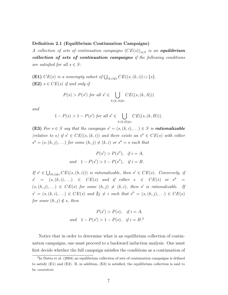#### Definition 2.1 (Equilibrium Continuation Campaigns)

A collection of sets of continuation campaigns  $(CE(s))_{s\in S}$  is an **equilibrium** collection of sets of continuation campaigns if the following conditions are satisfied for all  $s \in S$ :

(E1)  $CE(s)$  is a nonempty subset of  $\bigcup_{(k,i)\notin s} CE((s,(k,i))\cup \{s\}.$ (E2)  $s \in CE(s)$  if and only if

$$
P(s) > P(s') \text{ for all } s' \in \bigcup_{k:(k,A)\notin s} CE((s,(k,A)))
$$

and

$$
1 - P(s) > 1 - P(s') \text{ for all } s' \in \bigcup_{k:(k,B)\notin s} CE((s,(k,B))).
$$

(E3) For  $s \in S$  say that the campaign  $s' = (s, (k, i), ...) \in S$  is **rationalizable** (relative to s) if  $s' \in CE((s, (k, i))$  and there exists an  $s'' \in CE(s)$  with either  $s'' = (s, (h, j), \ldots)$  for some  $(h, j) \neq (k, i)$  or  $s'' = s$  such that

$$
P(s') > P(s''), \text{ if } i = A,
$$
  
and  $1 - P(s') > 1 - P(s''), \text{ if } i = B.$ 

If  $s' \in \bigcup_{(h,i)\notin s} CE((s,(h,i)))$  is rationalizable, then  $s' \in CE(s)$ . Conversely, if  $s' = (s, (k, i), ...) \in CE(s)$  and if either  $s \in CE(s)$  or  $s'' =$  $(s,(h, j),...) \in CE(s)$  for some  $(h, j) \neq (k, i)$ , then s' is rationalizable. If  $s' = (s, (k, i), \ldots) \in CE(s)$  and  $\sharp j \neq i$  such that  $s'' = (s, (h, j), \ldots) \in CE(s)$ for some  $(h, j) \notin s$ , then

$$
P(s') > P(s), \quad \text{if } i = A,
$$
  
and  $1 - P(s') > 1 - P(s), \quad \text{if } i = B.$ <sup>2</sup>

Notice that in order to determine what is an equilibrium collection of continuation campaigns, one must proceed to a backward induction analysis. One must first decide whether the full campaign satisfies the conditions as a continuation of

<sup>&</sup>lt;sup>2</sup>In Dutta et al. (2004) an equilibrium collection of sets of continuation campaigns is defined to satisfy  $(E1)$  and  $(E2)$ . If, in addition,  $(E3)$  is satisfied, the equilibrium collection is said to be consistent.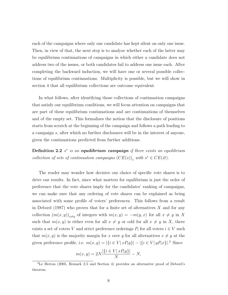each of the campaigns where only one candidate has kept silent on only one issue. Then, in view of that, the next step is to analyze whether each of the latter may be equilibrium continuations of campaigns in which either a candidate does not address two of the issues, or both candidates fail to address one issue each. After completing the backward induction, we will have one or several possible collections of equilibrium continuations. Multiplicity is possible, but we will show in section 4 that all equilibrium collections are outcome equivalent.

In what follows, after identifying those collections of continuation campaigns that satisfy our equilibrium conditions, we will focus attention on campaigns that are part of these equilibrium continuations and are continuations of themselves and of the empty set. This formalizes the notion that the disclosure of positions starts from scratch at the beginning of the campaign and follows a path leading to a campaign s, after which no further disclosures will be in the interest of anyone, given the continuations predicted from further additions.

**Definition 2.2**  $s^*$  is an **equilibrium campaign** if there exists an equilibrium collection of sets of continuation campaigns  $(CE(s))_s$  with  $s^* \in CE(\varnothing)$ .

The reader may wonder how decisive our choice of specific vote shares is to drive our results. In fact, since what matters for equilibrium is just the order of preference that the vote shares imply for the candidates' ranking of campaigns, we can make sure that any ordering of vote shares can be explained as being associated with some profile of voters' preferences. This follows from a result in Debord (1987) who proves that for a finite set of alternatives  $X$  and for any collection  $(m(x,y))_{x\neq y}$  of integers with  $m(x,y) = -m(y,x)$  for all  $x \neq y$  in X such that  $m(x, y)$  is either even for all  $x \neq y$  or odd for all  $x \neq y$  in X, there exists a set of voters V and strict preference orderings  $P_i$  for all voters  $i \in V$  such that  $m(x, y)$  is the majority margin for x over y for all alternatives  $x \neq y$  at the given preference profile, i.e.  $m(x, y) = |\{i \in V | x P_i y\}| - |\{i \in V | y P_i x\}|^3$  Since

$$
m(x,y) = 2N \frac{|\{i \in V | xP_iy\}|}{N} - N,
$$

<sup>3</sup>Le Breton (2005, Remark 2.5 and Section 4) provides an alternative proof of Debord's theorem.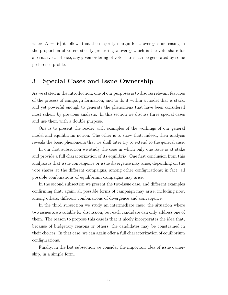where  $N = |V|$  it follows that the majority margin for x over y is increasing in the proportion of voters strictly preferring x over y which is the vote share for alternative x. Hence, any given ordering of vote shares can be generated by some preference profile.

## 3 Special Cases and Issue Ownership

As we stated in the introduction, one of our purposes is to discuss relevant features of the process of campaign formation, and to do it within a model that is stark, and yet powerful enough to generate the phenomena that have been considered most salient by previous analysts. In this section we discuss three special cases and use them with a double purpose.

One is to present the reader with examples of the workings of our general model and equilibrium notion. The other is to show that, indeed, their analysis reveals the basic phenomena that we shall later try to extend to the general case.

In our first subsection we study the case in which only one issue is at stake and provide a full characterization of its equilibria. One first conclusion from this analysis is that issue convergence or issue divergence may arise, depending on the vote shares at the different campaigns, among other configurations; in fact, all possible combinations of equilibrium campaigns may arise.

In the second subsection we present the two-issue case, and different examples confirming that, again, all possible forms of campaign may arise, including now, among others, different combinations of divergence and convergence.

In the third subsection we study an intermediate case: the situation where two issues are available for discussion, but each candidate can only address one of them. The reason to propose this case is that it nicely incorporates the idea that, because of budgetary reasons or others, the candidates may be constrained in their choices. In that case, we can again offer a full characterization of equilibrium configurations.

Finally, in the last subsection we consider the important idea of issue ownership, in a simple form.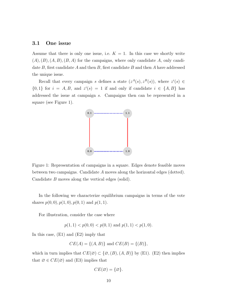#### 3.1 One issue

Assume that there is only one issue, i.e.  $K = 1$ . In this case we shortly write  $(A), (B), (A, B), (B, A)$  for the campaigns, where only candidate A, only candidate  $B$ , first candidate  $A$  and then  $B$ , first candidate  $B$  and then  $A$  have addressed the unique issue.

Recall that every campaign s defines a state  $(z<sup>A</sup>(s), z<sup>B</sup>(s))$ , where  $z<sup>i</sup>(s) \in$  $\{0,1\}$  for  $i = A, B$ , and  $z^{i}(s) = 1$  if and only if candidate  $i \in \{A, B\}$  has addressed the issue at campaign s. Campaigns then can be represented in a square (see Figure 1).



Figure 1: Representation of campaigns in a square. Edges denote feasible moves between two campaigns. Candidate A moves along the horizontal edges (dotted). Candidate B moves along the vertical edges (solid).

In the following we characterize equilibrium campaigns in terms of the vote shares  $p(0, 0), p(1, 0), p(0, 1)$  and  $p(1, 1)$ .

For illustration, consider the case where

 $p(1, 1) < p(0, 0) < p(0, 1)$  and  $p(1, 1) < p(1, 0)$ .

In this case, (E1) and (E2) imply that

$$
CE(A) = \{(A, B)\}\
$$
and  $CE(B) = \{(B)\},$ 

which in turn implies that  $CE(\emptyset) \subset \{\emptyset, (B), (A, B)\}\$  by (E1). (E2) then implies that  $\emptyset \in CE(\emptyset)$  and (E3) implies that

$$
CE(\varnothing) = \{\varnothing\}.
$$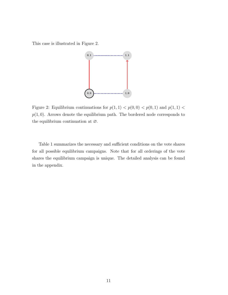This case is illustrated in Figure 2.



Figure 2: Equilibrium continuations for  $p(1, 1) < p(0, 0) < p(0, 1)$  and  $p(1, 1) <$  $p(1, 0)$ . Arrows denote the equilibrium path. The bordered node corresponds to the equilibrium continuation at ∅.

Table 1 summarizes the necessary and sufficient conditions on the vote shares for all possible equilibrium campaigns. Note that for all orderings of the vote shares the equilibrium campaign is unique. The detailed analysis can be found in the appendix.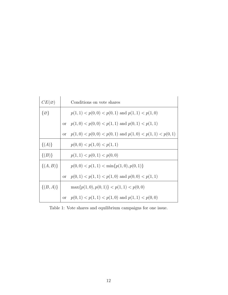| $CE(\varnothing)$ |               | Conditions on vote shares                                 |
|-------------------|---------------|-----------------------------------------------------------|
| $\{\varnothing\}$ |               | $p(1, 1) < p(0, 0) < p(0, 1)$ and $p(1, 1) < p(1, 0)$     |
|                   |               | or $p(1,0) < p(0,0) < p(1,1)$ and $p(0,1) < p(1,1)$       |
|                   | <sub>or</sub> | $p(1,0) < p(0,0) < p(0,1)$ and $p(1,0) < p(1,1) < p(0,1)$ |
| $\{(A)\}\$        |               | p(0,0) < p(1,0) < p(1,1)                                  |
| $\{(B)\}\$        |               | p(1, 1) < p(0, 1) < p(0, 0)                               |
| $\{(A,B)\}\$      |               | $p(0,0) < p(1,1) < \min\{p(1,0),p(0,1)\}\$                |
|                   |               | or $p(0,1) < p(1,1) < p(1,0)$ and $p(0,0) < p(1,1)$       |
| $\{(B, A)\}\$     |               | $\max\{p(1,0), p(0,1)\} < p(1,1) < p(0,0)$                |
|                   |               | or $p(0, 1) < p(1, 1) < p(1, 0)$ and $p(1, 1) < p(0, 0)$  |

Table 1: Vote shares and equilibrium campaigns for one issue.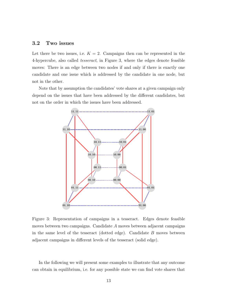## 3.2 Two issues

Let there be two issues, i.e.  $K = 2$ . Campaigns then can be represented in the 4-hypercube, also called tesseract, in Figure 3, where the edges denote feasible moves: There is an edge between two nodes if and only if there is exactly one candidate and one issue which is addressed by the candidate in one node, but not in the other.

Note that by assumption the candidates' vote shares at a given campaign only depend on the issues that have been addressed by the different candidates, but not on the order in which the issues have been addressed.



Figure 3: Representation of campaigns in a tesseract. Edges denote feasible moves between two campaigns. Candidate A moves between adjacent campaigns in the same level of the tesseract (dotted edge). Candidate  $B$  moves between adjacent campaigns in different levels of the tesseract (solid edge).

In the following we will present some examples to illustrate that any outcome can obtain in equilibrium, i.e. for any possible state we can find vote shares that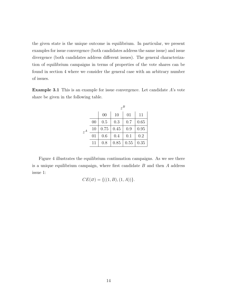the given state is the unique outcome in equilibrium. In particular, we present examples for issue convergence (both candidates address the same issue) and issue divergence (both candidates address different issues). The general characterization of equilibrium campaigns in terms of properties of the vote shares can be found in section 4 where we consider the general case with an arbitrary number of issues.

**Example 3.1** This is an example for issue convergence. Let candidate  $A$ 's vote share be given in the following table.

|       |    | $z^B$ |      |      |      |
|-------|----|-------|------|------|------|
|       |    | 00    | 10   | 01   | 11   |
| $z^A$ | 00 | 0.5   | 0.3  | 0.7  | 0.65 |
|       | 10 | 0.75  | 0.45 | 0.9  | 0.95 |
|       | 01 | 0.6   | 0.4  | 0.1  | 0.2  |
|       | 11 | 0.8   | 0.85 | 0.55 | 0.35 |

Figure 4 illustrates the equilibrium continuation campaigns. As we see there is a unique equilibrium campaign, where first candidate  $B$  and then  $A$  address issue 1:

$$
CE(\emptyset) = \{((1, B), (1, A))\}.
$$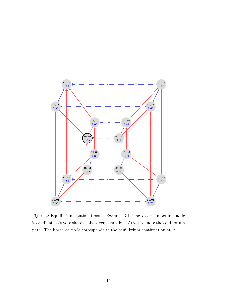

Figure 4: Equilibrium continuations in Example 3.1. The lower number in a node is candidate  $A$ 's vote share at the given campaign. Arrows denote the equilibrium path. The bordered node corresponds to the equilibrium continuation at ∅.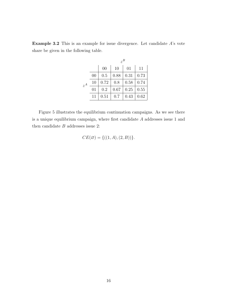|       |    | $z^B$ |      |      |      |
|-------|----|-------|------|------|------|
|       |    | 00    | 10   | 01   | 11   |
| $z^A$ | 00 | 0.5   | 0.88 | 0.31 | 0.73 |
|       | 10 | 0.72  | 0.8  | 0.58 | 0.74 |
|       | 01 | 0.2   | 0.67 | 0.25 | 0.55 |
|       | 11 | 0.51  | 0.7  | 0.43 | 0.62 |

Example 3.2 This is an example for issue divergence. Let candidate A's vote share be given in the following table.

Figure 5 illustrates the equilibrium continuation campaigns. As we see there is a unique equilibrium campaign, where first candidate A addresses issue 1 and then candidate  $B$  addresses issue 2:

$$
CE(\emptyset) = \{((1, A), (2, B))\}.
$$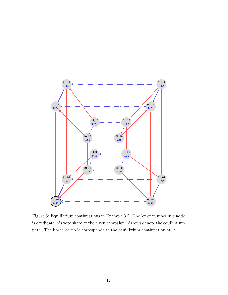

Figure 5: Equilibrium continuations in Example 3.2. The lower number in a node is candidate  $A$ 's vote share at the given campaign. Arrows denote the equilibrium path. The bordered node corresponds to the equilibrium continuation at ∅.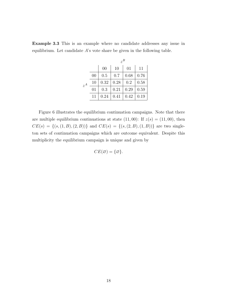|       |    | $z^B$          |      |      |      |
|-------|----|----------------|------|------|------|
|       |    | 0 <sup>0</sup> | 10   | 01   | 11   |
| $z^A$ | 00 | 0.5            | 0.7  | 0.68 | 0.76 |
|       | 10 | 0.32           | 0.28 | 0.2  | 0.58 |
|       | 01 | 0.3            | 0.21 | 0.29 | 0.59 |
|       | 11 | 0.24           | 0.41 | 0.42 | 0.19 |

Example 3.3 This is an example where no candidate addresses any issue in equilibrium. Let candidate A's vote share be given in the following table.

Figure 6 illustrates the equilibrium continuation campaigns. Note that there are multiple equilibrium continuations at state  $(11, 00)$ : If  $z(s) = (11, 00)$ , then  $CE(s) = \{(s,(1, B), (2, B))\}$  and  $CE(s) = \{(s,(2, B), (1, B))\}$  are two singleton sets of continuation campaigns which are outcome equivalent. Despite this multiplicity the equilibrium campaign is unique and given by

$$
CE(\varnothing) = \{\varnothing\}.
$$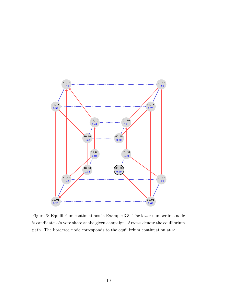

Figure 6: Equilibrium continuations in Example 3.3. The lower number in a node is candidate  $A$ 's vote share at the given campaign. Arrows denote the equilibrium path. The bordered node corresponds to the equilibrium continuation at ∅.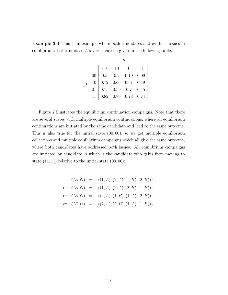|       |    | $z^B$ |      |      |      |
|-------|----|-------|------|------|------|
|       |    | 00    | 10   | 01   | 11   |
| $z^A$ | 00 | 0.5   | 0.2  | 0.19 | 0.09 |
|       | 10 | 0.72  | 0.66 | 0.61 | 0.49 |
|       | 01 | 0.75  | 0.59 | 0.7  | 0.45 |
|       | 11 | 0.82  | 0.79 | 0.78 | 0.74 |

Example 3.4 This is an example where both candidates address both issues in equilibrium. Let candidate A's vote share be given in the following table.

Figure 7 illustrates the equilibrium continuation campaigns. Note that there are several states with multiple equilibrium continuations, where all equilibrium continuations are initiated by the same candidate and lead to the same outcome. This is also true for the initial state  $(00, 00)$ , so we get multiple equilibrium collections and multiple equilibrium campaigns which all give the same outcome, where both candidates have addressed both issues. All equilibrium campaigns are initiated by candidate A which is the candidate who gains from moving to state  $(11, 11)$  relative to the initial state  $(00, 00)$ :

$$
CE(\emptyset) = \{((1, A), (2, A), (1, B), (2, B))\}
$$
  
or 
$$
CE(\emptyset) = \{((1, A), (2, A), (2, B), (1, B))\}
$$
  
or 
$$
CE(\emptyset) = \{((2, A), (1, B), (1, A), (2, B))\}
$$
  
or 
$$
CE(\emptyset) = \{((2, A), (2, B), (1, A), (1, B))\}
$$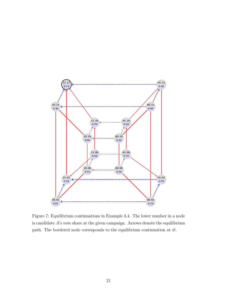

Figure 7: Equilibrium continuations in Example 3.4. The lower number in a node is candidate  $A$ 's vote share at the given campaign. Arrows denote the equilibrium path. The bordered node corresponds to the equilibrium continuation at ∅.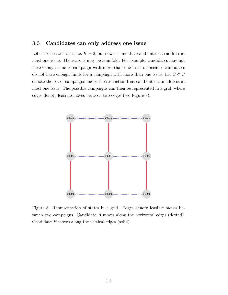## 3.3 Candidates can only address one issue

Let there be two issues, i.e.  $K = 2$ , but now assume that candidates can address at most one issue. The reasons may be manifold. For example, candidates may not have enough time to campaign with more than one issue or because candidates do not have enough funds for a campaign with more than one issue. Let  $\bar{S}\subset S$ denote the set of campaigns under the restriction that candidates can address at most one issue. The possible campaigns can then be represented in a grid, where edges denote feasible moves between two edges (see Figure 8).



Figure 8: Representation of states in a grid. Edges denote feasible moves between two campaigns. Candidate A moves along the horizontal edges (dotted). Candidate B moves along the vertical edges (solid).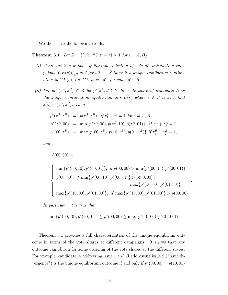We then have the following result:

**Theorem 3.1** Let  $Z = \{(z^A, z^B) | z_1^i + z_2^i \leq 1 \text{ for } i = A, B\}.$ 

- (i) There exists a unique equilibrium collection of sets of continuation campaigns  $(CE(s))_{s\in \bar{S}}$  and for all  $s \in \bar{S}$  there is a unique equilibrium continuation in  $CE(s)$ , i.e.  $CE(s) = \{s'\}$  for some  $s' \in \overline{S}$ .
- (ii) For all  $(z^A, z^B) \in Z$  let  $p^*(z^A, z^B)$  be the vote share of candidate A in the unique continuation equilibrium in  $CE(s)$  where  $s \in \overline{S}$  is such that  $z(s) = (z^A, z^B)$ . Then

$$
p^*(z^A, z^B) = p(z^A, z^B), \text{ if } z_1^i + z_2^i = 1 \text{ for } i = A, B,
$$
  
\n
$$
p^*(z^A, 00) = \min\{p(z^A, 00), p(z^A, 10), p(z^A, 01)\}, \text{ if } z_1^A + z_2^A = 1,
$$
  
\n
$$
p^*(00, z^B) = \max\{p(00, z^B), p(10, z^B), p(01, z^B)\} \text{ if } z_1^B + z_2^B = 1,
$$

and

$$
p^*(00,00) =
$$
  
\n
$$
\begin{cases}\n\min\{p^*(00,10), p^*(00,01)\}, & \text{if } p(00,00) > \min\{p^*(00,10), p^*(00,01)\} \\
p(00,00), & \text{if } \min\{p^*(00,10), p^*(00,01)\} > p(00,00) > \max\{p^*(10,00), p^*(01,00)\} \\
\max\{p^*(10,00), p^*(01,00)\}, & \text{if } \max\{p^*(10,00), p^*(01,00)\} > p(00,00)\n\end{cases}
$$

.

In particular, it is true that

$$
\min\{p^*(00,10), p^*(00,01)\} \ge p^*(00,00) \ge \max\{p^*(10,00), p^*(01,00)\}.
$$

Theorem 3.1 provides a full characterization of the unique equilibrium outcome in terms of the vote shares at different campaigns. It shows that any outcome can obtain for some ordering of the vote shares at the different states. For example, candidate A addressing issue 1 and B addressing issue 2 ("issue divergence") is the unique equilibrium outcome if and only if  $p^*(00, 00) = p(10, 01)$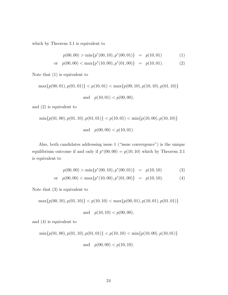which by Theorem 3.1 is equivalent to

$$
p(00,00) > \min\{p^*(00,10), p^*(00,01)\} = p(10,01) \tag{1}
$$

$$
\text{or} \quad p(00,00) < \max\{p^*(10,00), p^*(01,00)\} \quad = \quad p(10,01). \tag{2}
$$

Note that (1) is equivalent to

$$
\max\{p(00, 01), p(01, 01)\} < p(10, 01) < \max\{p(00, 10), p(10, 10), p(01, 10)\}
$$
\n
$$
\text{and} \quad p(10, 01) < p(00, 00),
$$

and (2) is equivalent to

$$
\min\{p(01,00), p(01,10), p(01,01)\} < p(10,01) < \min\{p(10,00), p(10,10)\}
$$
\n
$$
\text{and} \quad p(00,00) < p(10,01).
$$

Also, both candidates addressing issue 1 ("issue convergence") is the unique equilibrium outcome if and only if  $p^*(00, 00) = p(10, 10)$  which by Theorem 3.1 is equivalent to

$$
p(00,00) > \min\{p^*(00,10), p^*(00,01)\} = p(10,10)
$$
 (3)

or 
$$
p(00, 00) < \max\{p^*(10, 00), p^*(01, 00)\} = p(10, 10).
$$
 (4)

Note that (3) is equivalent to

$$
\max\{p(00, 10), p(01, 10)\} < p(10, 10) < \max\{p(00, 01), p(10, 01), p(01, 01)\}
$$

and 
$$
p(10, 10) < p(00, 00)
$$
,

and (4) is equivalent to

$$
\min\{p(01,00), p(01,10), p(01,01)\} < p(10,10) < \min\{p(10,00), p(10,01)\}
$$
  
and  $p(00,00) < p(10,10)$ .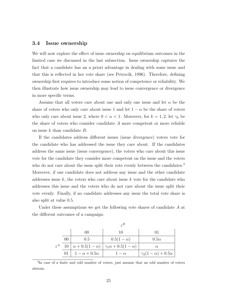#### 3.4 Issue ownership

We will now explore the effect of issue ownership on equilibrium outcomes in the limited case we discussed in the last subsection. Issue ownership captures the fact that a candidate has an a priori advantage in dealing with some issue and that this is reflected in her vote share (see Petrocik, 1996). Therefore, defining ownership first requires to introduce some notion of competence or reliability. We then illustrate how issue ownership may lead to issue convergence or divergence in more specific terms.

Assume that all voters care about one and only one issue and let  $\alpha$  be the share of voters who only care about issue 1 and let  $1 - \alpha$  be the share of voters who only care about issue 2, where  $0 < \alpha < 1$ . Moreover, for  $k = 1, 2$ , let  $\gamma_k$  be the share of voters who consider candidate A more competent or more reliable on issue k than candidate B.

If the candidates address different issues (issue divergence) voters vote for the candidate who has addressed the issue they care about. If the candidates address the same issue (issue convergence), the voters who care about this issue vote for the candidate they consider more competent on the issue and the voters who do not care about the issue split their vote evenly between the candidates.<sup>4</sup> Moreover, if one candidate does not address any issue and the other candidate addresses issue k, the voters who care about issue k vote for the candidate who addresses this issue and the voters who do not care about the issue split their vote evenly. Finally, if no candidate addresses any issue the total vote share is also split at value 0.5.

Under these assumptions we get the following vote shares of candidate A at the different outcomes of a campaign:

|       |    | 00                   | 10                                                                        | 01                             |
|-------|----|----------------------|---------------------------------------------------------------------------|--------------------------------|
|       | 00 | 0.5                  | $0.5(1 - \alpha)$                                                         | $0.5\alpha$                    |
| $z^A$ |    |                      | $10 \mid \alpha + 0.5(1 - \alpha) \mid \gamma_1 \alpha + 0.5(1 - \alpha)$ | $\alpha$                       |
|       | 01 | $1-\alpha+0.5\alpha$ | $1-\alpha$                                                                | $\gamma_2(1-\alpha)+0.5\alpha$ |

<sup>4</sup> In case of a finite and odd number of voters, just assume that an odd number of voters abstain.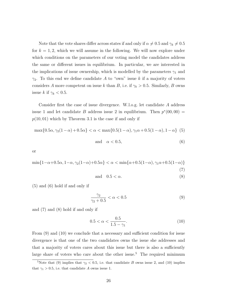Note that the vote shares differ across states if and only if  $\alpha \neq 0.5$  and  $\gamma_k \neq 0.5$ for  $k = 1, 2$ , which we will assume in the following. We will now explore under which conditions on the parameters of our voting model the candidates address the same or different issues in equilibrium. In particular, we are interested in the implications of issue ownership, which is modelled by the parameters  $\gamma_1$  and  $\gamma_2$ . To this end we define candidate A to "own" issue k if a majority of voters considers A more competent on issue k than B, i.e. if  $\gamma_k > 0.5$ . Similarly, B owns issue k if  $\gamma_k < 0.5$ .

Consider first the case of issue divergence. W.l.o.g. let candidate A address issue 1 and let candidate B address issue 2 in equilibrium. Then  $p^*(00,00)$  =  $p(10, 01)$  which by Theorem 3.1 is the case if and only if

$$
\max\{0.5\alpha, \gamma_2(1-\alpha) + 0.5\alpha\} < \alpha < \max\{0.5(1-\alpha), \gamma_1\alpha + 0.5(1-\alpha), 1-\alpha\} \tag{5}
$$

$$
and \quad \alpha < 0.5,\tag{6}
$$

or

$$
\min\{1-\alpha+0.5\alpha, 1-\alpha, \gamma_2(1-\alpha)+0.5\alpha\} < \alpha < \min\{\alpha+0.5(1-\alpha), \gamma_1\alpha+0.5(1-\alpha)\}\tag{7}
$$

$$
and \quad 0.5 < \alpha. \tag{8}
$$

(5) and (6) hold if and only if

$$
\frac{\gamma_2}{\gamma_2 + 0.5} < \alpha < 0.5 \tag{9}
$$

and (7) and (8) hold if and only if

$$
0.5 < \alpha < \frac{0.5}{1.5 - \gamma_1}.\tag{10}
$$

From (9) and (10) we conclude that a necessary and sufficient condition for issue divergence is that one of the two candidates owns the issue she addresses and that a majority of voters cares about this issue but there is also a sufficiently large share of voters who care about the other issue.<sup>5</sup> The required minimum

<sup>&</sup>lt;sup>5</sup>Note that (9) implies that  $\gamma_2$  < 0.5, i.e. that candidate B owns issue 2, and (10) implies that  $\gamma_1 > 0.5$ , i.e. that candidate A owns issue 1.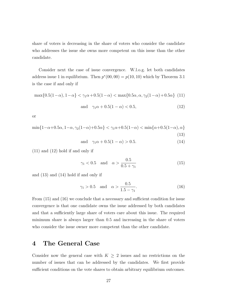share of voters is decreasing in the share of voters who consider the candidate who addresses the issue she owns more competent on this issue than the other candidate.

Consider next the case of issue convergence. W.l.o.g. let both candidates address issue 1 in equilibrium. Then  $p^*(00, 00) = p(10, 10)$  which by Theorem 3.1 is the case if and only if

$$
\max\{0.5(1-\alpha), 1-\alpha\} < \gamma_1\alpha + 0.5(1-\alpha) < \max\{0.5\alpha, \alpha, \gamma_2(1-\alpha) + 0.5\alpha\} \tag{11}
$$

and 
$$
\gamma_1 \alpha + 0.5(1 - \alpha) < 0.5,
$$
 (12)

or

$$
\min\{1-\alpha+0.5\alpha, 1-\alpha, \gamma_2(1-\alpha)+0.5\alpha\} < \gamma_1\alpha+0.5(1-\alpha) < \min\{\alpha+0.5(1-\alpha), \alpha\}
$$
\n(13)

and 
$$
\gamma_1 \alpha + 0.5(1 - \alpha) > 0.5.
$$
 (14)

(11) and (12) hold if and only if

$$
\gamma_1 < 0.5 \quad \text{and} \quad \alpha > \frac{0.5}{0.5 + \gamma_1} \tag{15}
$$

and (13) and (14) hold if and only if

$$
\gamma_1 > 0.5
$$
 and  $\alpha > \frac{0.5}{1.5 - \gamma_1}$ . (16)

From (15) and (16) we conclude that a necessary and sufficient condition for issue convergence is that one candidate owns the issue addressed by both candidates and that a sufficiently large share of voters care about this issue. The required minimum share is always larger than 0.5 and increasing in the share of voters who consider the issue owner more competent than the other candidate.

## 4 The General Case

Consider now the general case with  $K \geq 2$  issues and no restrictions on the number of issues that can be addressed by the candidates. We first provide sufficient conditions on the vote shares to obtain arbitrary equilibrium outcomes.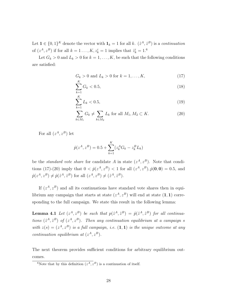Let  $\mathbf{1} \in \{0,1\}^K$  denote the vector with  $\mathbf{1}_k = 1$  for all k.  $(\hat{z}^A, \hat{z}^B)$  is a continuation of  $(z^A, z^B)$  if for all  $k = 1 \dots, K$ ,  $z^i_k = 1$  implies that  $\hat{z}^i_k = 1$ .<sup>6</sup>

Let  $G_k > 0$  and  $L_k > 0$  for  $k = 1, ..., K$ , be such that the following conditions are satisfied:

$$
G_k > 0
$$
 and  $L_k > 0$  for  $k = 1, ..., K$ , (17)

$$
\sum_{k=1}^{K} G_k < 0.5,\tag{18}
$$

$$
\sum_{k=1}^{K} L_k < 0.5,\tag{19}
$$

$$
\sum_{k \in M_1} G_k \neq \sum_{k \in M_2} L_k \text{ for all } M_1, M_2 \subset K. \tag{20}
$$

For all  $(z^A, z^B)$  let

$$
\hat{p}(z^A, z^B) = 0.5 + \sum_{k=1}^{K} (z_k^A G_k - z_k^B L_k)
$$

be the *standard vote share* for candidate A in state  $(z^A, z^B)$ . Note that conditions (17)-(20) imply that  $0 < \hat{p}(z^A, z^B) < 1$  for all  $(z^A, z^B), \hat{p}(0, 0) = 0.5$ , and  $\hat{p}(z^A, z^B) \neq \hat{p}(\hat{z}^A, \hat{z}^B)$  for all  $(z^A, z^B) \neq (\hat{z}^A, \hat{z}^B)$ .

If  $(z<sup>A</sup>, z<sup>B</sup>)$  and all its continuations have standard vote shares then in equilibrium any campaign that starts at state  $(z<sup>A</sup>, z<sup>B</sup>)$  will end at state  $(1, 1)$  corresponding to the full campaign. We state this result in the following lemma:

**Lemma 4.1** Let  $(z^A, z^B)$  be such that  $p(\hat{z}^A, \hat{z}^B) = \hat{p}(\hat{z}^A, \hat{z}^B)$  for all continuations  $(\hat{z}^A, \hat{z}^B)$  of  $(z^A, z^B)$ . Then any continuation equilibrium at a campaign s with  $z(s) = (z^A, z^B)$  is a full campaign, i.e.  $(1, 1)$  is the unique outcome at any continuation equilibrium at  $(z^A, z^B)$ .

The next theorem provides sufficient conditions for arbitrary equilibrium outcomes.

<sup>&</sup>lt;sup>6</sup>Note that by this definition  $(z^A, z^B)$  is a continuation of itself.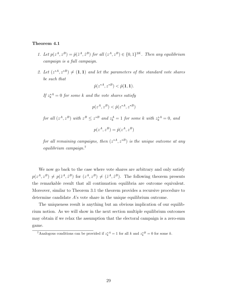#### Theorem 4.1

- 1. Let  $p(z^A, z^B) = \hat{p}(\hat{z}^A, \hat{z}^B)$  for all  $(z^A, z^B) \in \{0, 1\}^{2K}$ . Then any equilibrium campaign is a full campaign.
- 2. Let  $(z^{*A}, z^{*B}) \neq (1,1)$  and let the parameters of the standard vote shares be such that

$$
\hat{p}(z^{*A}, z^{*B}) < \hat{p}(1, 1).
$$

If  $z_k^{*A} = 0$  for some k and the vote shares satisfy

$$
p(z^A, z^B) < \hat{p}(z^{*A}, z^{*B})
$$

for all  $(z^A, z^B)$  with  $z^B \leq z^{*B}$  and  $z^A_k = 1$  for some k with  $z^{*A}_k = 0$ , and

$$
p(z^A, z^B) = \hat{p}(z^A, z^B)
$$

for all remaining campaigns, then  $(z^{*A}, z^{*B})$  is the unique outcome at any equilibrium campaign.<sup>7</sup>

We now go back to the case where vote shares are arbitrary and only satisfy  $p(z^A, z^B) \neq p(\hat{z}^A, \hat{z}^B)$  for  $(z^A, z^B) \neq (\hat{z}^A, \hat{z}^B)$ . The following theorem presents the remarkable result that all continuation equilibria are outcome equivalent. Moreover, similar to Theorem 3.1 the theorem provides a recursive procedure to determine candidate A's vote share in the unique equilibrium outcome.

The uniqueness result is anything but an obvious implication of our equilibrium notion. As we will show in the next section multiple equilibrium outcomes may obtain if we relax the assumption that the electoral campaign is a zero-sum game.

<sup>&</sup>lt;sup>7</sup>Analogous conditions can be provided if  $z_k^{*A} = 1$  for all k and  $z_k^{*B} = 0$  for some k.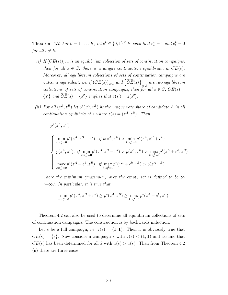**Theorem 4.2** For  $k = 1, ..., K$ , let  $e^k \in \{0, 1\}^K$  be such that  $e_k^k = 1$  and  $e_l^k = 0$ for all  $l \neq k$ .

- (i) If  $(CE(s))_{s\in S}$  is an equilibrium collection of sets of continuation campaigns, then for all  $s \in S$ , there is a unique continuation equilibrium in  $CE(s)$ . Moreover, all equilibrium collections of sets of continuation campaigns are outcome equivalent, i.e. if  $(CE(s))_{s\in S}$  and  $\left(\widehat{CE}(s)\right)$  $\sum_{s \in S}$  are two equilibrium collections of sets of continuation campaigns, then for all  $s \in S$ ,  $CE(s) =$  $\{s'\}$  and  $\widehat{CE}(s) = \{s''\}$  implies that  $z(s') = z(s'')$ .
- (ii) For all  $(z^A, z^B)$  let  $p^*(z^A, z^B)$  be the unique vote share of candidate A in all continuation equilibria at s where  $z(s) = (z^A, z^B)$ . Then

$$
p^*(z^A, z^B) =
$$

$$
\begin{cases} \min_{k:z_k^B=0} p^*(z^A, z^B + e^k), & \text{if } p(z^A, z^B) > \min_{k:z_k^B=0} p^*(z^A, z^B + e^k) \\ p(z^A, z^B), & \text{if } \min_{k:z_k^B=0} p^*(z^A, z^B + e^k) > p(z^A, z^B) > \max_{k:z_k^A=0} p^*(z^A + e^k, z^B) \\ \max_{k:z_k^A=0} p^*(z^A + e^k, z^B), & \text{if } \max_{k:z_k^A=0} p^*(z^A + e^k, z^B) > p(z^A, z^B) \end{cases}
$$

where the minimum (maximum) over the empty set is defined to be  $\infty$  $(-\infty)$ . In particular, it is true that

$$
\min_{k:z_k^B=0} p^*(z^A, z^B + e^k) \ge p^*(z^A, z^B) \ge \max_{k:z_k^A=0} p^*(z^A + e^k, z^B).
$$

Theorem 4.2 can also be used to determine all equilibrium collections of sets of continuation campaigns. The construction is by backwards induction:

Let s be a full campaign, i.e.  $z(s) = (1, 1)$ . Then it is obviously true that  $CE(s) = \{s\}.$  Now consider a campaign s with  $z(s) < (1, 1)$  and assume that  $CE(\hat{s})$  has been determined for all  $\hat{s}$  with  $z(\hat{s}) > z(s)$ . Then from Theorem 4.2 (ii) there are three cases.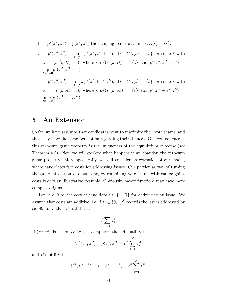- 1. If  $p^*(z^A, z^B) = p(z^A, z^B)$  the campaign ends at s and  $CE(s) = \{s\}.$
- 2. If  $p^*(z^A, z^B) = \min_{k:z_k^B=0}$  $p^*(z^A, z^B + e^k)$ , then  $CE(s) = \{\hat{s}\}\$ for some  $\hat{s}$  with  $\hat{s} = (s, (k, B), \ldots),$  where  $CE((s, (k, B)) = {\hat{s}}$  and  $p^*(z^A, z^B + e^k) =$  $\min_{l: z_l^B=0}$  $p^*(z^A, z^B + e^l).$
- 3. If  $p^*(z^A, z^B) = \max_{k:z^A_k=0}$  $p^*(z^A + e^k, z^B)$ , then  $CE(s) = \{\hat{s}\}\$ for some  $\hat{s}$  with  $\hat{s} = (s, (k, A), \ldots),$  where  $CE((s, (k, A)) = {\hat{s}}$  and  $p^*(z^A + e^k, z^B) =$  $\max_{l: z_l^A=0}$  $p^*(z^A + e^l, z^B).$

## 5 An Extension

So far, we have assumed that candidates want to maximize their vote shares, and that they have the same perception regarding their chances. One consequence of this zero-sum game property is the uniqueness of the equilibrium outcome (see Theorem 4.2). Now we will explore what happens if we abandon the zero-sum game property. More specifically, we will consider an extension of our model, where candidates face costs for addressing issues. Our particular way of turning the game into a non-zero sum one, by combining vote shares with campaigning costs is only an illustrative example. Obviously, payoff functions may have more complex origins.

Let  $c^i \geq 0$  be the cost of candidate  $i \in \{A, B\}$  for addressing an issue. We assume that costs are additive, i.e. if  $z^i \in \{0,1\}^K$  records the issues addressed by candidate  $i$ , then  $i$ 's total cost is

$$
c^i \sum_{k=1}^K z_k^i.
$$

If  $(z<sup>A</sup>, z<sup>B</sup>)$  is the outcome at a campaign, then A's utility is

$$
U^{A}(z^{A}, z^{B}) = p(z^{A}, z^{B}) - c^{A} \sum_{k=1}^{K} z_{k}^{A},
$$

and  $B$ 's utility is

$$
U^{B}(z^{A}, z^{B}) = 1 - p(z^{A}, z^{B}) - c^{B} \sum_{k=1}^{K} z_{k}^{B}.
$$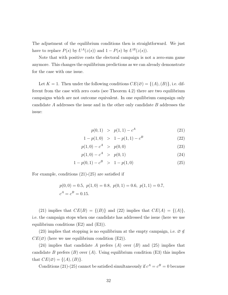The adjustment of the equilibrium conditions then is straightforward. We just have to replace  $P(s)$  by  $U^A(z(s))$  and  $1 - P(s)$  by  $U^B(z(s))$ .

Note that with positive costs the electoral campaign is not a zero-sum game anymore. This changes the equilibrium predictions as we can already demonstrate for the case with one issue.

Let  $K = 1$ . Then under the following conditions  $CE(\emptyset) = \{(A), (B)\}\)$ , i.e. different from the case with zero costs (see Theorem 4.2) there are two equilibrium campaigns which are not outcome equivalent. In one equilibrium campaign only candidate A addresses the issue and in the other only candidate B addresses the issue:

$$
p(0,1) > p(1,1) - cA
$$
 (21)

$$
1 - p(1,0) > 1 - p(1,1) - c^B
$$
\n(22)

$$
p(1,0) - c^A > p(0,0) \tag{23}
$$

$$
p(1,0) - c^A > p(0,1) \tag{24}
$$

$$
1 - p(0, 1) - c^B > 1 - p(1, 0)
$$
\n(25)

For example, conditions (21)-(25) are satisfied if

$$
p(0, 0) = 0.5
$$
,  $p(1, 0) = 0.8$ ,  $p(0, 1) = 0.6$ ,  $p(1, 1) = 0.7$ ,  
 $cA = cB = 0.15$ .

(21) implies that  $CE(B) = \{(B)\}\$ and (22) implies that  $CE(A) = \{(A)\}\$ , i.e. the campaign stops when one candidate has addressed the issue (here we use equilibrium conditions (E2) and (E3)).

(23) implies that stopping is no equilibrium at the empty campaign, i.e.  $\varnothing \notin$  $CE(\emptyset)$  (here we use equilibrium condition (E2)).

(24) implies that candidate A prefers  $(A)$  over  $(B)$  and  $(25)$  implies that candidate B prefers  $(B)$  over  $(A)$ . Using equilibrium condition  $(E3)$  this implies that  $CE(\emptyset) = \{(A), (B)\}.$ 

Conditions (21)-(25) cannot be satisfied simultaneously if  $c^A = c^B = 0$  because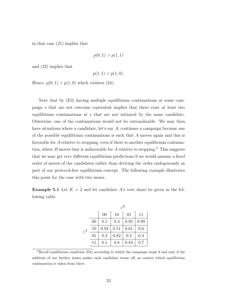in that case (21) implies that

$$
p(0,1) > p(1,1)
$$

and (22) implies that

$$
p(1,1) > p(1,0).
$$

Hence,  $p(0, 1) > p(1, 0)$  which violates (24).

Note that by (E3) having multiple equilibrium continuations at some campaign s that are not outcome equivalent implies that there exist at least two equilibrium continuations at s that are not initiated by the same candidate. Otherwise, one of the continuations would not be rationalizable. We may then have situations where a candidate, let's say A, continues a campaign because one of the possible equilibrium continuations is such that A moves again and this is favorable for A relative to stopping, even if there is another equilibrium continuation, where  $B$  moves that is unfavorable for  $A$  relative to stopping.<sup>8</sup> This suggests that we may get very different equilibrium predictions if we would assume a fixed order of moves of the candidates rather than deriving the order endogenously as part of our protocol-free equilibrium concept. The following example illustrates this point for the case with two issues.

**Example 5.1** Let  $K = 2$  and let candidate A's vote share be given in the following table.

|       |                | $z^B$          |      |         |      |
|-------|----------------|----------------|------|---------|------|
|       |                | 0 <sup>0</sup> | 10   | 01      | 11   |
| $z^A$ | 0 <sup>0</sup> | 0.5            | 0.3  | 0.95    | 0.99 |
|       | 10             | 0.94           | 0.51 | 0.61    | 0.6  |
|       | 01             | 0.3            | 0.82 | $0.2\,$ | 0.4  |
|       | 11             | 0.1            | 0.8  | 0.83    | 0.7  |

 ${}^{8}$ Recall equilibrium condition (E2) according to which the campaign stops if and only if the addition of one further issues makes each candidate worse off, no matter which equilibrium continuation is taken from there.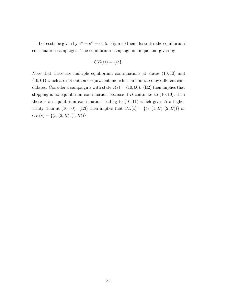Let costs be given by  $c^A = c^B = 0.15$ . Figure 9 then illustrates the equilibrium continuation campaigns. The equilibrium campaign is unique and given by

$$
CE(\varnothing) = \{\varnothing\}.
$$

Note that there are multiple equilibrium continuations at states  $(10, 10)$  and (10, 01) which are not outcome equivalent and which are initiated by different candidates. Consider a campaign s with state  $z(s) = (10, 00)$ . (E2) then implies that stopping is no equilibrium continuation because if  $B$  continues to  $(10, 10)$ , then there is an equilibrium continuation leading to  $(10, 11)$  which gives B a higher utility than at (10,00). (E3) then implies that  $CE(s) = \{(s,(1, B), (2, B))\}$  or  $CE(s) = \{(s,(2,B),(1,B))\}.$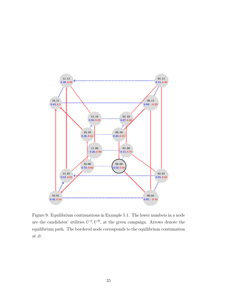

Figure 9: Equilibrium continuations in Example 5.1. The lower numbers in a node are the candidates' utilities  $U^A$ ,  $U^B$ , at the given campaign. Arrows denote the equilibrium path. The bordered node corresponds to the equilibrium continuation at  $\varnothing.$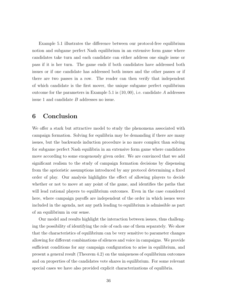Example 5.1 illustrates the difference between our protocol-free equilibrium notion and subgame perfect Nash equilibrium in an extensive form game where candidates take turn and each candidate can either address one single issue or pass if it is her turn. The game ends if both candidates have addressed both issues or if one candidate has addressed both issues and the other passes or if there are two passes in a row. The reader can then verify that independent of which candidate is the first mover, the unique subgame perfect equilibrium outcome for the parameters in Example 5.1 is  $(10, 00)$ , i.e. candidate A addresses issue 1 and candidate B addresses no issue.

# 6 Conclusion

We offer a stark but attractive model to study the phenomena associated with campaign formation. Solving for equilibria may be demanding if there are many issues, but the backwards induction procedure is no more complex than solving for subgame perfect Nash equilibria in an extensive form game where candidates move according to some exogenously given order. We are convinced that we add significant realism to the study of campaign formation decisions by dispensing from the aprioristic assumptions introduced by any protocol determining a fixed order of play. Our analysis highlights the effect of allowing players to decide whether or not to move at any point of the game, and identifies the paths that will lead rational players to equilibrium outcomes. Even in the case considered here, where campaign payoffs are independent of the order in which issues were included in the agenda, not any path leading to equilibrium is admissible as part of an equilibrium in our sense.

Our model and results highlight the interaction between issues, thus challenging the possibility of identifying the role of each one of them separately. We show that the characteristics of equilibrium can be very sensitive to parameter changes allowing for different combinations of silences and voice in campaigns. We provide sufficient conditions for any campaign configuration to arise in equilibrium, and present a general result (Theorem 4.2) on the uniqueness of equilibrium outcomes and on properties of the candidates vote shares in equilibrium. For some relevant special cases we have also provided explicit characterizations of equilibria.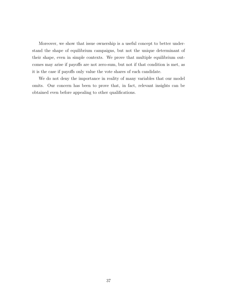Moreover, we show that issue ownership is a useful concept to better understand the shape of equilibrium campaigns, but not the unique determinant of their shape, even in simple contexts. We prove that multiple equilibrium outcomes may arise if payoffs are not zero-sum, but not if that condition is met, as it is the case if payoffs only value the vote shares of each candidate.

We do not deny the importance in reality of many variables that our model omits. Our concern has been to prove that, in fact, relevant insights can be obtained even before appealing to other qualifications.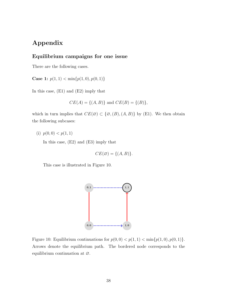# Appendix

### Equilibrium campaigns for one issue

There are the following cases.

Case 1:  $p(1, 1) < \min\{p(1, 0), p(0, 1)\}\$ 

In this case, (E1) and (E2) imply that

$$
CE(A) = \{(A, B)\}\
$$
and  $CE(B) = \{(B)\},$ 

which in turn implies that  $CE(\emptyset) \subset \{\emptyset, (B), (A, B)\}\$ by (E1). We then obtain the following subcases:

(i)  $p(0,0) < p(1,1)$ 

In this case, (E2) and (E3) imply that

$$
CE(\emptyset) = \{(A, B)\}.
$$

This case is illustrated in Figure 10.



Figure 10: Equilibrium continuations for  $p(0, 0) < p(1, 1) < \min\{p(1, 0), p(0, 1)\}.$ Arrows denote the equilibrium path. The bordered node corresponds to the equilibrium continuation at ∅.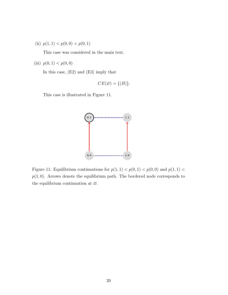(ii)  $p(1, 1) < p(0, 0) < p(0, 1)$ 

This case was considered in the main text.

(iii)  $p(0, 1) < p(0, 0)$ 

In this case, (E2) and (E3) imply that

$$
CE(\varnothing) = \{(B)\}.
$$

This case is illustrated in Figure 11.



Figure 11: Equilibrium continuations for  $p(1, 1) < p(0, 1) < p(0, 0)$  and  $p(1, 1) <$  $p(1, 0)$ . Arrows denote the equilibrium path. The bordered node corresponds to the equilibrium continuation at ∅.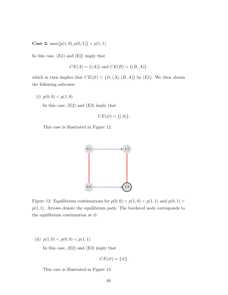Case 2:  $\max\{p(1,0), p(0,1)\} < p(1,1)$ 

In this case, (E1) and (E2) imply that

$$
CE(A) = \{(A)\}\
$$
and  $CE(B) = \{(B, A)\}\,$ 

which in turn implies that  $CE(\emptyset) \subset \{\emptyset, (A), (B, A)\}$  by (E1). We then obtain the following subcases:

(i)  $p(0, 0) < p(1, 0)$ 

In this case, (E2) and (E3) imply that

$$
CE(\varnothing) = \{(A)\}.
$$

This case is illustrated in Figure 12.



Figure 12: Equilibrium continuations for  $p(0,0) < p(1,0) < p(1,1)$  and  $p(0,1) <$  $p(1, 1)$ . Arrows denote the equilibrium path. The bordered node corresponds to the equilibrium continuation at ∅.

(ii)  $p(1, 0) < p(0, 0) < p(1, 1)$ 

In this case, (E2) and (E3) imply that

$$
CE(\varnothing) = \{\varnothing\}.
$$

This case is illustrated in Figure 13.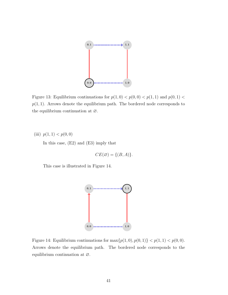

Figure 13: Equilibrium continuations for  $p(1,0) < p(0,0) < p(1,1)$  and  $p(0,1) <$  $p(1, 1)$ . Arrows denote the equilibrium path. The bordered node corresponds to the equilibrium continuation at ∅.

(iii)  $p(1, 1) < p(0, 0)$ 

In this case, (E2) and (E3) imply that

$$
CE(\emptyset) = \{(B, A)\}.
$$

This case is illustrated in Figure 14.



Figure 14: Equilibrium continuations for  $\max\{p(1,0), p(0,1)\} < p(1,1) < p(0,0)$ . Arrows denote the equilibrium path. The bordered node corresponds to the equilibrium continuation at ∅.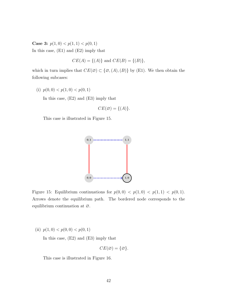Case 3:  $p(1,0) < p(1,1) < p(0,1)$ In this case, (E1) and (E2) imply that

$$
CE(A) = \{(A)\}\
$$
and  $CE(B) = \{(B)\},$ 

which in turn implies that  $CE(\emptyset) \subset \{\emptyset, (A), (B)\}\$  by (E1). We then obtain the following subcases:

(i)  $p(0, 0) < p(1, 0) < p(0, 1)$ 

In this case, (E2) and (E3) imply that

$$
CE(\varnothing) = \{(A)\}.
$$

This case is illustrated in Figure 15.



Figure 15: Equilibrium continuations for  $p(0,0) < p(1,0) < p(1,1) < p(0,1)$ . Arrows denote the equilibrium path. The bordered node corresponds to the equilibrium continuation at ∅.

(ii)  $p(1,0) < p(0,0) < p(0,1)$ 

In this case, (E2) and (E3) imply that

$$
CE(\varnothing) = \{\varnothing\}.
$$

This case is illustrated in Figure 16.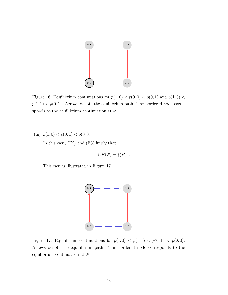

Figure 16: Equilibrium continuations for  $p(1,0) < p(0,0) < p(0,1)$  and  $p(1,0) <$  $p(1, 1) < p(0, 1)$ . Arrows denote the equilibrium path. The bordered node corresponds to the equilibrium continuation at ∅.

(iii)  $p(1,0) < p(0,1) < p(0,0)$ 

In this case, (E2) and (E3) imply that

$$
CE(\varnothing) = \{(B)\}.
$$

This case is illustrated in Figure 17.



Figure 17: Equilibrium continuations for  $p(1,0) < p(1,1) < p(0,1) < p(0,0)$ . Arrows denote the equilibrium path. The bordered node corresponds to the equilibrium continuation at ∅.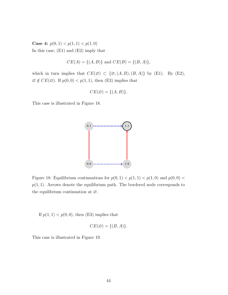Case 4:  $p(0, 1) < p(1, 1) < p(1, 0)$ In this case, (E1) and (E2) imply that

$$
CE(A) = \{(A, B)\}\
$$
and  $CE(B) = \{(B, A)\}\$ ,

which in turn implies that  $CE(\emptyset) \subset \{\emptyset, (A, B), (B, A)\}\$  by (E1). By (E2),  $\emptyset \notin CE(\emptyset)$ . If  $p(0, 0) < p(1, 1)$ , then (E3) implies that

$$
CE(\varnothing) = \{(A, B)\}.
$$

This case is illustrated in Figure 18.



Figure 18: Equilibrium continuations for  $p(0, 1) < p(1, 1) < p(1, 0)$  and  $p(0, 0) <$  $p(1, 1)$ . Arrows denote the equilibrium path. The bordered node corresponds to the equilibrium continuation at ∅.

If  $p(1, 1) < p(0, 0)$ , then (E3) implies that

$$
CE(\varnothing) = \{(B, A)\}.
$$

This case is illustrated in Figure 19.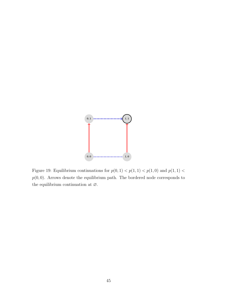

Figure 19: Equilibrium continuations for  $p(0,1) < p(1,1) < p(1,0)$  and  $p(1,1) <$  $p(0, 0)$ . Arrows denote the equilibrium path. The bordered node corresponds to the equilibrium continuation at  $\varnothing.$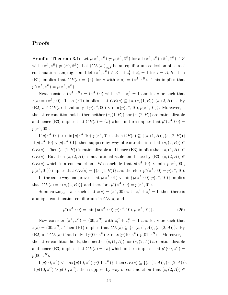### Proofs

**Proof of Theorem 3.1:** Let  $p(z^A, z^B) \neq p(\hat{z}^A, \hat{z}^B)$  for all  $(z^A, z^B), (\hat{z}^A, \hat{z}^B) \in Z$ with  $(z^A, z^B) \neq (\hat{z}^A, \hat{z}^B)$ . Let  $(CE(s))_{s \in \bar{S}}$  be an equilibrium collection of sets of continuation campaigns and let  $(z^A, z^B) \in Z$ . If  $z_1^i + z_2^i = 1$  for  $i = A, B$ , then (E1) implies that  $CE(s) = \{s\}$  for s with  $z(s) = (z^A, z^B)$ . This implies that  $p^*(z^A, z^B) = p(z^A, z^B).$ 

Next consider  $(z^A, z^B) = (z^A, 00)$  with  $z_1^A + z_2^A = 1$  and let s be such that  $z(s) = (z<sup>A</sup>, 00)$ . Then (E1) implies that  $CE(s) \subseteq \{s, (s, (1, B)), (s, (2, B))\}$ . By (E2)  $s \in CE(s)$  if and only if  $p(z^A, 00) < \min\{p(z^A, 10), p(z^A, 01)\}\$ . Moreover, if the latter condition holds, then neither  $(s,(1, B))$  nor  $(s,(2, B))$  are rationalizable and hence (E3) implies that  $CE(s) = \{s\}$  which in turn implies that  $p^*(z^A, 00) =$  $p(z^A, 00)$ .

If  $p(z^A, 00) > \min\{p(z^A, 10), p(z^A, 01)\}\$ , then  $CE(s) \subseteq \{(s, (1, B)), (s, (2, B))\}\$ . If  $p(z^A, 10) < p(z^A, 01)$ , then suppose by way of contradiction that  $(s, (2, B)) \in$  $CE(s)$ . Then  $(s,(1, B))$  is rationalizable and hence (E3) implies that  $(s,(1, B)) \in$  $CE(s)$ . But then  $(s,(2, B))$  is not rationalizable and hence by  $(E3)$   $(s,(2, B)) \notin$  $CE(s)$  which is a contradiction. We conclude that  $p(z^A, 10) < \min\{p(z^A, 00),\}$  $p(z^A, 01)$  implies that  $CE(s) = \{(s, (1, B))\}$  and therefore  $p^*(z^A, 00) = p(z^A, 10)$ .

In the same way one proves that  $p(z^A, 01) < \min\{p(z^A, 00), p(z^A, 10)\}\$ implies that  $CE(s) = \{(s, (2, B))\}$  and therefore  $p^*(z^A, 00) = p(z^A, 01)$ .

Summarizing, if s is such that  $z(s) = (z^A, 00)$  with  $z_1^A + z_2^A = 1$ , then there is a unique continuation equilibrium in  $CE(s)$  and

$$
p^*(z^A, 00) = \min\{p(z^A, 00), p(z^A, 10), p(z^A, 01)\}.
$$
 (26)

Now consider  $(z^A, z^B) = (00, z^B)$  with  $z_1^B + z_2^B = 1$  and let s be such that  $z(s) = (00, z^B)$ . Then (E1) implies that  $CE(s) \subseteq \{s, (s, (1, A)), (s, (2, A))\}$ . By (E2)  $s \in CE(s)$  if and only if  $p(00, z^B) > \max\{p(10, z^B), p(01, z^B)\}\$ . Moreover, if the latter condition holds, then neither  $(s,(1,A))$  nor  $(s,(2,A))$  are rationalizable and hence (E3) implies that  $CE(s) = \{s\}$  which in turn implies that  $p^*(00, z^B) =$  $p(00, z^B)$ .

If  $p(00, z^B) < \max\{p(10, z^B), p(01, z^B)\}\$ , then  $CE(s) \subseteq \{(s,(1,A)), (s,(2,A))\}$ . If  $p(10, z^B) > p(01, z^B)$ , then suppose by way of contradiction that  $(s, (2, A)) \in$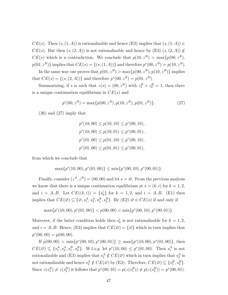$CE(s)$ . Then  $(s,(1,A))$  is rationalizable and hence (E3) implies that  $(s,(1,A)) \in$  $CE(s)$ . But then  $(s,(2,A))$  is not rationalizable and hence by  $(E3)$   $(s,(2,A)) \notin$  $CE(s)$  which is a contradiction. We conclude that  $p(10, z^B) > \max\{p(00, z^B),\}$  $p(01, z^B)$  implies that  $CE(s) = \{(s, (1, A))\}$  and therefore  $p^*(00, z^B) = p(10, z^B)$ .

In the same way one proves that  $p(01, z^B) > \max\{p(00, z^B), p(10, z^B)\}\$ implies that  $CE(s) = \{(s, (2, A))\}$  and therefore  $p^*(00, z^B) = p(01, z^B)$ .

Summarizing, if s is such that  $z(s) = (00, z^B)$  with  $z_1^B + z_2^B = 1$ , then there is a unique continuation equilibrium in  $CE(s)$  and

$$
p^*(00, z^B) = \max\{p(00, z^B), p(10, z^B), p(01, z^B)\}.
$$
 (27)

 $(26)$  and  $(27)$  imply that

$$
p^*(10,00) \le p(10,10) \le p^*(00,10),
$$
  
\n
$$
p^*(10,00) \le p(10,01) \le p^*(00,01),
$$
  
\n
$$
p^*(01,00) \le p(01,10) \le p^*(00,10),
$$
  
\n
$$
p^*(01,00) \le p(01,01) \le p^*(00,01),
$$

from which we conclude that

$$
\max\{p^*(10,00), p^*(01,00)\} \le \min\{p^*(00,10), p^*(00,01)\}.
$$

Finally, consider  $(z^A, z^B) = (00, 00)$  and let  $s = \emptyset$ . From the previous analysis we know that there is a unique continuation equilibrium at  $s = (k, i)$  for  $k = 1, 2$ , and  $i = A, B$ . Let  $CE((k, i)) = \{s_k^i\}$  for  $k = 1, 2$ , and  $i = A, B$ . (E1) then implies that  $CE(\emptyset) \subseteq \{ \emptyset, s_1^A, s_2^A, s_1^B, s_2^B \}$ . By (E2)  $\emptyset \in CE(s)$  if and only if

$$
\max\{p^*(10,00), p^*(01,00)\} < p(00,00) < \min\{p^*(00,10), p^*(00,01)\}.
$$

Moreover, if the latter condition holds then  $s_k^i$  is not rationalizable for  $k = 1, 2$ , and  $i = A, B$ . Hence, (E3) implies that  $CE(\emptyset) = {\emptyset}$  which in turn implies that  $p^*(00, 00) = p(00, 00).$ 

If  $p(00, 00) > \min\{p^*(00, 10), p^*(00, 01)\} \ge \max\{p^*(10, 00), p^*(01, 00)\},\$ then  $CE(\emptyset) \subseteq \{s_1^A, s_2^A, s_1^B, s_2^B\}$ . W.l.o.g. let  $p^*(10, 00) \leq p^*(01, 00)$ . Then  $s_1^A$  is not rationalizable and (E3) implies that  $s_1^A \notin CE(\emptyset)$  which in turn implies that  $s_2^A$  is not rationalizable and hence  $s_2^A \notin CE(\emptyset)$  by (E3). Therefore,  $CE(\emptyset) \subseteq \{s_1^B, s_2^B\}$ . Since  $z(s_1^B) \neq z(s_2^B)$  it follows that  $p^*(00, 10) = p(z(s_1^B)) \neq p(z(s_2^B)) = p^*(00, 01)$ .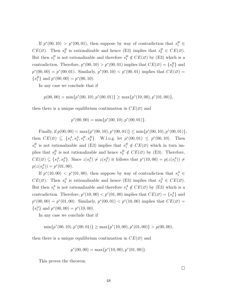If  $p^*(00, 10) > p^*(00, 01)$ , then suppose by way of contradiction that  $s_1^B \in$  $CE(\emptyset)$ . Then  $s_2^B$  is rationalizable and hence (E3) implies that  $s_2^B \in CE(\emptyset)$ . But then  $s_1^B$  is not rationalizable and therefore  $s_1^B \notin CE(\emptyset)$  by (E3) which is a contradiction. Therefore,  $p^*(00, 10) > p^*(00, 01)$  implies that  $CE(\emptyset) = \{s_2^B\}$  and  $p^*(00,00) = p^*(00,01)$ . Similarly,  $p^*(00,10) < p^*(00,01)$  implies that  $CE(\emptyset) =$  $\{s_1^B\}$  and  $p^*(00, 00) = p^*(00, 10)$ .

In any case we conclude that if

$$
p(00,00) > \min\{p^*(00,10), p^*(00,01)\} \ge \max\{p^*(10,00), p^*(01,00)\},\
$$

then there is a unique equilibrium continuation in  $CE(\emptyset)$  and

$$
p^*(00,00) = \min\{p^*(00,10), p^*(00,01)\}.
$$

Finally, if  $p(00, 00) < \max\{p^*(00, 10), p^*(00, 01)\} \le \min\{p^*(00, 10), p^*(00, 01)\},$ then  $CE(\emptyset) \subseteq \{s_1^A, s_2^A, s_1^B, s_2^B\}$ . W.l.o.g. let  $p^*(00, 01) \leq p^*(00, 10)$ . Then  $s_1^B$  is not rationalizable and (E3) implies that  $s_1^B \notin CE(\emptyset)$  which in turn implies that  $s_2^B$  is not rationalizable and hence  $s_2^B \notin CE(\emptyset)$  by (E3). Therefore,  $CE(\emptyset) \subseteq \{s_1^A, s_2^A\}$ . Since  $z(s_1^A) \neq z(s_2^A)$  it follows that  $p^*(10, 00) = p(z(s_1^A)) \neq$  $p(z(s_2^A)) = p^*(01, 00).$ 

If  $p^*(10,00) < p^*(01,00)$ , then suppose by way of contradiction that  $s_1^A \in$  $CE(\emptyset)$ . Then  $s_2^A$  is rationalizable and hence (E3) implies that  $s_2^A \in CE(\emptyset)$ . But then  $s_1^A$  is not rationalizable and therefore  $s_1^A \notin CE(\emptyset)$  by (E3) which is a contradiction. Therefore,  $p^*(10,00) < p^*(01,00)$  implies that  $CE(\emptyset) = \{s_2^A\}$  and  $p^*(00,00) = p^*(01,00)$ . Similarly,  $p^*(00,01) < p^*(10,00)$  implies that  $CE(\emptyset) =$  ${s<sub>1</sub><sup>A</sup>}$  and  $p<sup>*</sup>(00, 00) = p<sup>*</sup>(10, 00)$ .

In any case we conclude that if

$$
\min\{p^*(00,10), p^*(00,01)\} \ge \max\{p^*(10,00), p^*(01,00)\} > p(00,00),
$$

then there is a unique equilibrium continuation in  $CE(\emptyset)$  and

$$
p^*(00,00) = \max\{p^*(10,00), p^*(01,00)\}.
$$

This proves the theorem.

□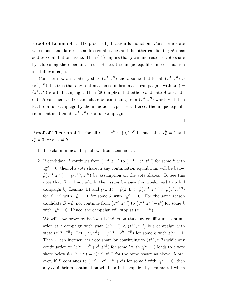**Proof of Lemma 4.1:** The proof is by backwards induction: Consider a state where one candidate i has addressed all issues and the other candidate  $j \neq i$  has addressed all but one issue. Then  $(17)$  implies that j can increase her vote share by addressing the remaining issue. Hence, the unique equilibrium continuation is a full campaign.

Consider now an arbitrary state  $(z^A, z^B)$  and assume that for all  $(\hat{z}^A, \hat{z}^B)$  $(z<sup>A</sup>, z<sup>B</sup>)$  it is true that any continuation equilibrium at a campaign s with  $z(s)$  $(\hat{z}^A, \hat{z}^B)$  is a full campaign. Then (20) implies that either candidate A or candidate B can increase her vote share by continuing from  $(z<sup>A</sup>, z<sup>B</sup>)$  which will then lead to a full campaign by the induction hypothesis. Hence, the unique equilibrium continuation at  $(z<sup>A</sup>, z<sup>B</sup>)$  is a full campaign.

□

**Proof of Theorem 4.1:** For all k, let  $e^k \in \{0,1\}^K$  be such that  $e^k_k = 1$  and  $e_l^k = 0$  for all  $l \neq k$ .

- 1. The claim immediately follows from Lemma 4.1.
- 2. If candidate A continues from  $(z^{*A}, z^{*B})$  to  $(z^{*A} + e^k, z^{*B})$  for some k with  $z_k^{*A} = 0$ , then A's vote share in any continuation equilibrium will be below  $\hat{p}(z^{*A}, z^{*B}) = p(z^{*A}, z^{*B})$  by assumption on the vote shares. To see this note that B will not add further issues because this would lead to a full campaign by Lemma 4.1 and  $p(1,1) = \hat{p}(1,1) > \hat{p}(z^{*A}, z^{*B}) > p(z^A, z^{*B})$ for all  $z^A$  with  $z_k^A = 1$  for some k with  $z_k^{*A} = 0$ . For the same reason candidate B will not continue from  $(z^{*A}, z^{*B})$  to  $(z^{*A}, z^{*B} + e^k)$  for some k with  $z_k^{*B} = 0$ . Hence, the campaign will stop at  $(z^{*A}, z^{*B})$ .

We will now prove by backwards induction that any equilibrium continuation at a campaign with state  $(z<sup>A</sup>, z<sup>B</sup>) < (z<sup>*A</sup>, z<sup>*B</sup>)$  is a campaign with state  $(z^{*A}, z^{*B})$ . Let  $(z^A, z^B) = (z^{*A} - e^k, z^{*B})$  for some k with  $z_k^{*A} = 1$ . Then A can increase her vote share by continuing to  $(z^{*A}, z^{*B})$  while any continuation to  $(z^{*A} - e^k + e^l, z^{*B})$  for some l with  $z_l^{*A} = 0$  leads to a vote share below  $\hat{p}(z^{*A}, z^{*B}) = p(z^{*A}, z^{*B})$  for the same reason as above. Moreover, if B continues to  $(z^{*A} - e^k, z^{*B} + e^l)$  for some l with  $z_l^{*B} = 0$ , then any equilibrium continuation will be a full campaign by Lemma 4.1 which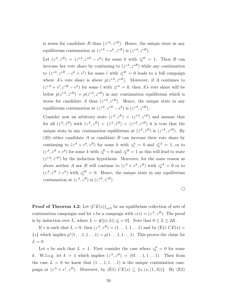is worse for candidate B than  $(z^{*A}, z^{*B})$ . Hence, the unique state in any equilibrium continuation at  $(z^{*A} - e^k, z^{*B})$  is  $(z^{*A}, z^{*B})$ .

Let  $(z^A, z^B) = (z^{*A}, z^{*B} - e^k)$  for some k with  $z_k^{*B} = 1$ . Then B can increase her vote share by continuing to  $(z^{*A}, z^{*B})$  while any continuation to  $(z^{*A}, z^{*B} - e^k + e^l)$  for some l with  $z_l^{*B} = 0$  leads to a full campaign where A's vote share is above  $p(z^{*A}, z^{*B})$ . Moreover, if A continues to  $(z^{*A} + e^l, z^{*B} - e^k)$  for some l with  $z_l^{*A} = 0$ , then A's vote share will be below  $\hat{p}(z^{*A}, z^{*B}) = p(z^{*A}, z^{*B})$  in any continuation equilibrium which is worse for candidate A than  $(z^{*A}, z^{*B})$ . Hence, the unique state in any equilibrium continuation at  $(z^{*A}, z^{*B} - e^k)$  is  $(z^{*A}, z^{*B})$ .

Consider now an arbitrary state  $(z<sup>A</sup>, z<sup>B</sup>) < (z<sup>*A</sup>, z<sup>*B</sup>)$  and assume that for all  $(\hat{z}^A, \hat{z}^B)$  with  $(z^A, z^B) < (\hat{z}^A, \hat{z}^B) < (z^{*A}, z^{*B})$  it is true that the unique state in any continuation equilibrium at  $(\hat{z}^A, \hat{z}^B)$  is  $(z^{*A}, z^{*B})$ . By  $(20)$  either candidate A or candidate B can increase their vote share by continuing to  $(z^A + e^k, z^B)$  for some k with  $z_k^A = 0$  and  $z_k^{*A} = 1$ , or to  $(z<sup>A</sup>, z<sup>B</sup> + e<sup>k</sup>)$  for some k with  $z<sub>k</sub><sup>B</sup> = 0$  and  $z<sub>k</sub><sup>*B</sup> = 1$  as this will lead to state  $(z^{*A}, z^{*B})$  by the induction hypothesis. Moreover, for the same reason as above neither A nor B will continue to  $(z^A + e^k, z^B)$  with  $z_k^{A} = 0$  or to  $(z<sup>A</sup>, z<sup>B</sup> + e<sup>k</sup>)$  with  $z<sub>k</sub><sup>*B</sup> = 0$ . Hence, the unique state in any equilibrium continuation at  $(z^A, z^B)$  is  $(z^{*A}, z^{*B})$ .

□

**Proof of Theorem 4.2:** Let  $(CE(s))_{s\in S}$  be an equilibrium collection of sets of continuation campaigns and let s be a campaign with  $z(s) = (z^A, z^B)$ . The proof is by induction over L, where  $L = #\{(i,k) | z_k^i = 0\}$ . Note that  $0 \le L \le 2K$ .

If s is such that  $L = 0$ , then  $(z^A, z^B) = (1 \dots 1, 1 \dots 1)$  and by (E1)  $CE(s) =$  $\{s\}$  which implies  $p^*(1 \dots 1, 1 \dots 1) = p(1 \dots 1, 1 \dots 1)$ . This proves the claim for  $L = 0$ .

Let s be such that  $L = 1$ . First consider the case where  $z_k^A = 0$  for some k. W.l.o.g. let  $k = 1$  which implies  $(z^A, z^B) = (01 \dots 1, 1 \dots 1)$ . Then from the case  $L = 0$  we know that  $(1 \dots 1, 1 \dots 1)$  is the unique continuation campaign at  $(z^A + e^1, z^B)$ . Moreover, by (E1)  $CE(s) \subseteq \{s, (s, (1, A))\}$ . By (E2)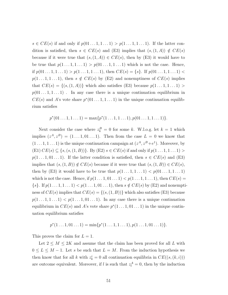$s \in CE(s)$  if and only if  $p(01...1,1...1) > p(1...1,1...1)$ . If the latter condition is satisfied, then  $s \in CE(s)$  and (E3) implies that  $(s,(1,A)) \notin CE(s)$ because if it were true that  $(s,(1,A)) \in CE(s)$ , then by  $(E3)$  it would have to be true that  $p(1 \ldots 1, 1 \ldots 1) > p(01 \ldots 1, 1 \ldots 1)$  which is not the case. Hence, if  $p(01...1, 1...1) > p(1...1, 1...1)$ , then  $CE(s) = \{s\}$ . If  $p(01...1, 1...1)$  $p(1 \ldots 1, 1 \ldots 1)$ , then  $s \notin CE(s)$  by (E2) and nonemptiness of  $CE(s)$  implies that  $CE(s) = \{(s,(1,A))\}$  which also satisfies (E3) because  $p(1...1,1...1)$  $p(01 \ldots 1, 1 \ldots 1)$ . In any case there is a unique continuation equilibrium in  $CE(s)$  and A's vote share  $p^*(01...1,1...1)$  in the unique continuation equilibrium satisfies

$$
p^*(01...1,1...1) = \max\{p^*(1...1,1...1), p(01...1,1...1)\}.
$$

Next consider the case where  $z_k^B = 0$  for some k. W.l.o.g. let  $k = 1$  which implies  $(z^A, z^B) = (1 \dots 1, 01 \dots 1)$ . Then from the case  $L = 0$  we know that  $(1 \dots 1, 1 \dots 1)$  is the unique continuation campaign at  $(z^A, z^B + e^1)$ . Moreover, by (E1)  $CE(s) \subseteq \{s, (s, (1, B))\}$ . By (E2)  $s \in CE(s)$  if and only if  $p(1...1, 1...1)$  $p(1 \ldots 1, 01 \ldots 1)$ . If the latter condition is satisfied, then  $s \in CE(s)$  and (E3) implies that  $(s,(1, B)) \notin CE(s)$  because if it were true that  $(s,(1, B)) \in CE(s)$ , then by (E3) it would have to be true that  $p(1 \ldots 1, 1 \ldots 1) < p(01 \ldots 1, 1 \ldots 1)$ which is not the case. Hence, if  $p(1 \ldots 1, 01 \ldots 1) < p(1 \ldots 1, 1 \ldots 1)$ , then  $CE(s)$  $\{s\}.$  If  $p(1 \ldots 1, 1 \ldots 1) < p(1 \ldots 1, 01 \ldots 1)$ , then  $s \notin CE(s)$  by  $(E2)$  and nonemptiness of  $CE(s)$  implies that  $CE(s) = \{(s,(1,B))\}$  which also satisfies (E3) because  $p(1 \ldots 1, 1 \ldots 1) < p(1 \ldots 1, 01 \ldots 1)$ . In any case there is a unique continuation equilibrium in  $CE(s)$  and A's vote share  $p^*(1...1,01...1)$  in the unique continuation equilibrium satisfies

$$
p^*(1 \dots 1, 01 \dots 1) = \min\{p^*(1 \dots 1, 1 \dots 1), p(1 \dots 1, 01 \dots 1)\}.
$$

This proves the claim for  $L = 1$ .

Let  $2 \leq M \leq 2K$  and assume that the claim has been proved for all L with  $0 \leq L \leq M - 1$ . Let s be such that  $L = M$ . From the induction hypothesis we then know that for all k with  $z_k^i = 0$  all continuation equilibria in  $CE((s,(k,i)))$ are outcome equivalent. Moreover, if l is such that  $z_l^A = 0$ , then by the induction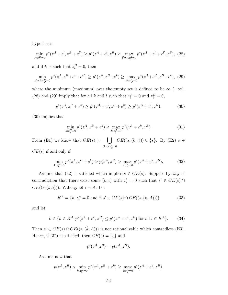hypothesis

$$
\min_{l':z_{l'}^B=0} p^*(z^A + e^l, z^B + e^{l'}) \ge p^*(z^A + e^l, z^B) \ge \max_{l'\neq l:z_{l'}^A=0} p^*(z^A + e^l + e^{l'}, z^B),
$$
 (28)

and if k is such that  $z_k^B = 0$ , then

$$
\min_{k' \neq k: z_{k'}^B = 0} p^*(z^A, z^B + e^k + e^{k'}) \ge p^*(z^A, z^B + e^k) \ge \max_{k': z_{k'}^A = 0} p^*(z^A + e^{k'}, z^B + e^k),
$$
 (29)

where the minimum (maximum) over the empty set is defined to be  $\infty$  ( $-\infty$ ). (28) and (29) imply that for all k and l such that  $z_l^A = 0$  and  $z_k^B = 0$ ,

$$
p^*(z^A, z^B + e^k) \ge p^*(z^A + e^l, z^B + e^k) \ge p^*(z^A + e^l, z^B). \tag{30}
$$

(30) implies that

$$
\min_{k:z_k^B=0} p^*(z^A, z^B + e^k) \ge \max_{k:z_k^A=0} p^*(z^A + e^k, z^B). \tag{31}
$$

From (E1) we know that  $CE(s) \subseteq \Box$  $(k,i):z_k^i=0$  $CE((s, (k, i))) \cup \{s\}$ . By (E2)  $s \in$  $CE(s)$  if and only if

$$
\min_{k:z_k^B=0} p^*(z^A, z^B + e^k) > p(z^A, z^B) > \max_{k:z_k^A=0} p^*(z^A + e^k, z^B). \tag{32}
$$

Assume that (32) is satisfied which implies  $s \in CE(s)$ . Suppose by way of contradiction that there exist some  $(k, i)$  with  $z_k^i = 0$  such that  $s' \in CE(s) \cap$  $CE((s, (k, i)))$ . W.l.o.g. let  $i = A$ . Let

$$
K^{A} = \{k | z_{k}^{A} = 0 \text{ and } \exists s' \in CE(s) \cap CE((s, (k, A)))\}
$$
(33)

and let

$$
\hat{k} \in \{k \in K^A | p^*(z^A + e^k, z^B) \le p^*(z^A + e^l, z^B) \text{ for all } l \in K^A \}. \tag{34}
$$

Then  $s' \in CE(s) \cap CE((s, (\hat{k}, A)))$  is not rationalizable which contradicts (E3). Hence, if (32) is satisfied, then  $CE(s) = \{s\}$  and

$$
p^*(z^A, z^B) = p(z^A, z^B).
$$

Assume now that

$$
p(z^A, z^B) > \min_{k:z_k^B=0} p^*(z^A, z^B + e^k) \ge \max_{k:z_k^A=0} p^*(z^A + e^k, z^B).
$$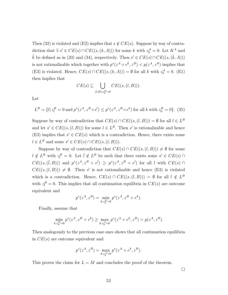Then (32) is violated and (E2) implies that  $s \notin CE(s)$ . Suppose by way of contradiction that  $\exists s' \in CE(s) \cap CE((s,(k,A)))$  for some k with  $z_k^A = 0$ . Let  $K^A$  and  $\hat{k}$  be defined as in (33) and (34), respectively. Then  $s' \in CE(s) \cap CE((s, (\hat{k}, A)))$ is not rationalizable which together with  $p^*(z^A + e^{\hat{k}}, z^B) < p(z^A, z^B)$  implies that (E3) is violated. Hence,  $CE(s) \cap CE((s,(k,A))) = \emptyset$  for all k with  $z_k^A = 0$ . (E1) then implies that

$$
CE(s) \subseteq \bigcup_{(l,B):z_k^B=0} CE((s,(l,B))).
$$

Let

$$
L^{B} = \{l | z_{l}^{B} = 0 \text{ and } p^{*}(z^{A}, z^{B} + e^{l}) \le p^{*}(z^{A}, z^{B} + e^{k}) \text{ for all } k \text{ with } z_{k}^{B} = 0 \}. (35)
$$

Suppose by way of contradiction that  $CE(s) \cap CE((s,(l,B))) = \emptyset$  for all  $l \in L^B$ and let  $s' \in CE((s, (l, B)))$  for some  $l \in L^B$ . Then s' is rationalizable and hence (E3) implies that  $s' \in CE(s)$  which is a contradiction. Hence, there exists some  $l \in L^B$  and some  $s' \in CE(s) \cap CE((s,(l,B))).$ 

Suppose by way of contradiction that  $CE(s) \cap CE((s,(l, B))) \neq \emptyset$  for some  $l \notin L^B$  with  $z_l^B = 0$ . Let  $\overline{l} \notin L^B$  be such that there exists some  $s' \in CE(s) \cap$  $CE((s, (\overline{l}, B)))$  and  $p^*(z^A, z^B + e^{\overline{l}}) \geq p^*(z^A, z^B + e^l)$  for all l with  $CE(s) \cap$  $CE((s, (l, B))) \neq \emptyset$ . Then s' is not rationalizable and hence (E3) is violated which is a contradiction. Hence,  $CE(s) \cap CE((s,(l,B))) = \emptyset$  for all  $l \notin L^B$ with  $z_l^B = 0$ . This implies that all continuation equilibria in  $CE(s)$  are outcome equivalent and

$$
p^*(z^A, z^B) = \min_{k:z_k^B=0} p^*(z^A, z^B + e^k).
$$

Finally, assume that

$$
\min_{k:z_k^B=0} p^*(z^A, z^B + e^k) \ge \max_{k:z_k^A=0} p^*(z^A + e^k, z^B) > p(z^A, z^B).
$$

Then analogously to the previous case ones shows that all continuation equilibria in  $CE(s)$  are outcome equivalent and

$$
p^*(z^A, z^B) = \max_{k: z_k^A = 0} p^*(z^A + e^k, z^B).
$$

This proves the claim for  $L = M$  and concludes the proof of the theorem.

□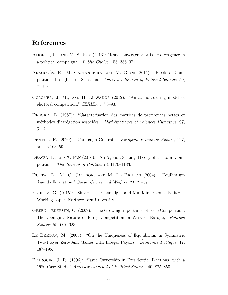## References

- AMORÓS, P., AND M. S. PUY (2013): "Issue convergence or issue divergence in a political campaign?," Public Choice, 155, 355–371.
- ARAGONES, E., M. CASTANHEIRA, AND M. GIANI (2015): "Electoral Competition through Issue Selection," American Journal of Political Science, 59, 71–90.
- Colomer, J. M., and H. Llavador (2012): "An agenda-setting model of electoral competition," SERIEs, 3, 73–93.
- DEBORD, B. (1987): "Caractérisation des matrices de préférences nettes et méthodes d'agrégation associées," Mathématiques et Sciences Humaines, 97, 5–17.
- DENTER, P. (2020): "Campaign Contests," European Economic Review, 127, article 103459.
- DRAGU, T., AND X. FAN (2016): "An Agenda-Setting Theory of Electoral Competition," The Journal of Politics, 78, 1170–1183.
- Dutta, B., M. O. Jackson, and M. Le Breton (2004): "Equilibrium Agenda Formation," Social Choice and Welfare, 23, 21–57.
- Egorov, G. (2015): "Single-Issue Campaigns and Multidimensional Politics," Working paper, Northwestern University.
- Green-Pedersen, C. (2007): "The Growing Importance of Issue Competition: The Changing Nature of Party Competition in Western Europe," Political Studies, 55, 607–628.
- LE BRETON, M. (2005): "On the Uniqueness of Equilibrium in Symmetric Two-Player Zero-Sum Games with Integer Payoffs," *Économie Publique*, 17, 187–195.
- PETROCIK, J. R. (1996): "Issue Ownership in Presidential Elections, with a 1980 Case Study," American Journal of Political Science, 40, 825–850.